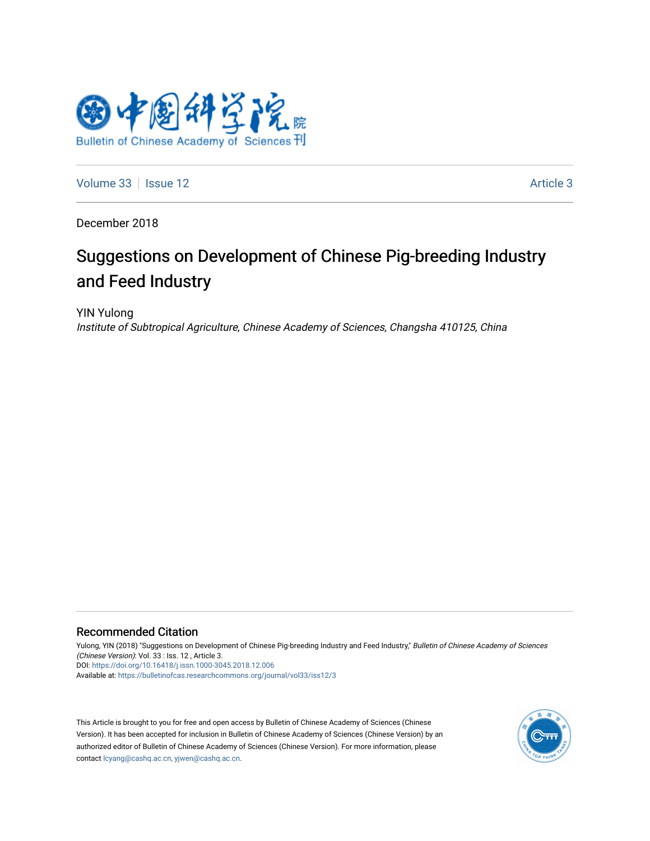

[Volume 33](https://bulletinofcas.researchcommons.org/journal/vol33) | [Issue 12](https://bulletinofcas.researchcommons.org/journal/vol33/iss12) Article 3

December 2018

# Suggestions on Development of Chinese Pig-breeding Industry and Feed Industry

YIN Yulong Institute of Subtropical Agriculture, Chinese Academy of Sciences, Changsha 410125, China

#### Recommended Citation

Yulong, YIN (2018) "Suggestions on Development of Chinese Pig-breeding Industry and Feed Industry," Bulletin of Chinese Academy of Sciences (Chinese Version): Vol. 33 : Iss. 12 , Article 3. DOI: <https://doi.org/10.16418/j.issn.1000-3045.2018.12.006> Available at: [https://bulletinofcas.researchcommons.org/journal/vol33/iss12/3](https://bulletinofcas.researchcommons.org/journal/vol33/iss12/3?utm_source=bulletinofcas.researchcommons.org%2Fjournal%2Fvol33%2Fiss12%2F3&utm_medium=PDF&utm_campaign=PDFCoverPages) 

This Article is brought to you for free and open access by Bulletin of Chinese Academy of Sciences (Chinese Version). It has been accepted for inclusion in Bulletin of Chinese Academy of Sciences (Chinese Version) by an authorized editor of Bulletin of Chinese Academy of Sciences (Chinese Version). For more information, please contact [lcyang@cashq.ac.cn, yjwen@cashq.ac.cn](mailto:lcyang@cashq.ac.cn,%20yjwen@cashq.ac.cn).

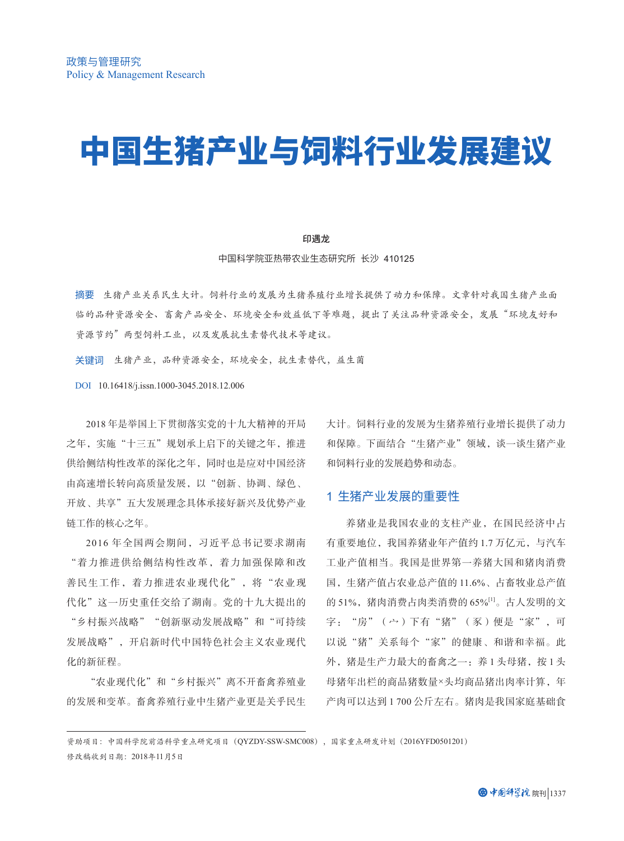# 中国生猪产业与饲料行业发展建议

#### 印遇龙

中国科学院亚热带农业生态研究所 长沙 410125

摘要 生猪产业关系民生大计。饲料行业的发展为生猪养殖行业增长提供了动力和保障。文章针对我国生猪产业面 临的品种资源安全、畜禽产品安全、环境安全和效益低下等难题,提出了关注品种资源安全,发展"环境友好和 资源节约"两型饲料工业,以及发展抗生素替代技术等建议。

关键词 生猪产业,品种资源安全,环境安全,抗生素替代,益生菌

DOI 10.16418/j.issn.1000-3045.2018.12.006

2018 年是举国上下贯彻落实党的十九大精神的开局 之年,实施"十三五"规划承上启下的关键之年,推进 供给侧结构性改革的深化之年,同时也是应对中国经济 由高速增长转向高质量发展,以"创新、协调、绿色、 开放、共享"五大发展理念具体承接好新兴及优势产业 链工作的核心之年。

2016 年全国两会期间,习近平总书记要求湖南 "着力推进供给侧结构性改革,着力加强保障和改 善民生工作,着力推进农业现代化",将"农业现 代化"这一历史重任交给了湖南。党的十九大提出的 "乡村振兴战略""创新驱动发展战略"和"可持续 发展战略",开启新时代中国特色社会主义农业现代 化的新征程。

"农业现代化"和"乡村振兴"离不开畜禽养殖业 的发展和变革。畜禽养殖行业中生猪产业更是关乎民生 大计。饲料行业的发展为生猪养殖行业增长提供了动力 和保障。下面结合"生猪产业"领域,谈一谈生猪产业 和饲料行业的发展趋势和动态。

## 1 生猪产业发展的重要性

养猪业是我国农业的支柱产业,在国民经济中占 有重要地位,我国养猪业年产值约 1.7 万亿元,与汽车 工业产值相当。我国是世界第一养猪大国和猪肉消费 国,生猪产值占农业总产值的 11.6%、占畜牧业总产值 的 51%,猪肉消费占肉类消费的 65%[1]。古人发明的文 字: "房"(宀)下有"猪"(豕)便是"家",可 以说"猪"关系每个"家"的健康、和谐和幸福。此 外,猪是生产力最大的畜禽之一:养1头母猪,按1头 母猪年出栏的商品猪数量×头均商品猪出肉率计算,年 产肉可以达到 1 700 公斤左右。猪肉是我国家庭基础食

资助项目:中国科学院前沿科学重点研究项目(QYZDY-SSW-SMC008),国家重点研发计划(2016YFD0501201) 修改稿收到日期:2018年11月5日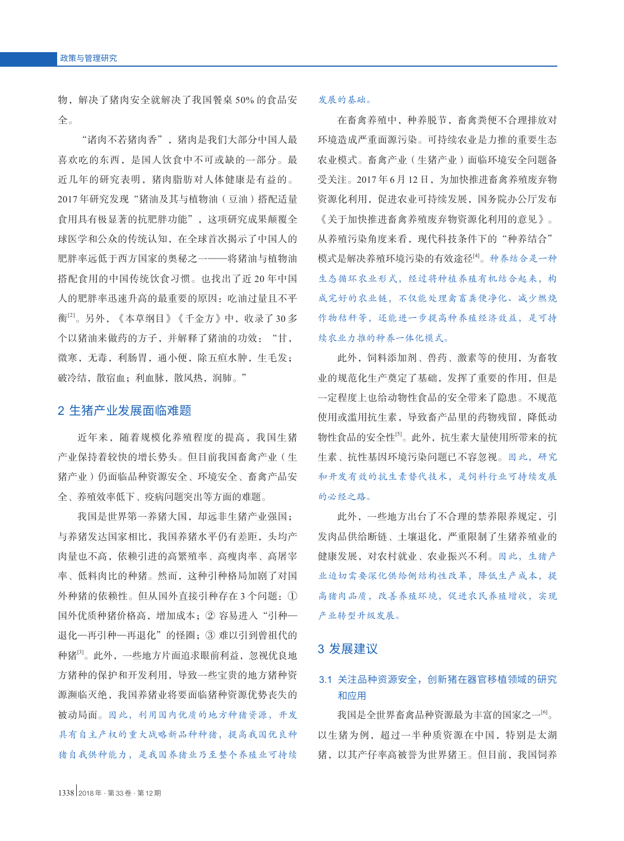物,解决了猪肉安全就解决了我国餐桌 50% 的食品安 全。

"诸肉不若猪肉香",猪肉是我们大部分中国人最 喜欢吃的东西,是国人饮食中不可或缺的一部分。最 近几年的研究表明,猪肉脂肪对人体健康是有益的。 2017 年研究发现"猪油及其与植物油(豆油)搭配适量 食用具有极显著的抗肥胖功能",这项研究成果颠覆全 球医学和公众的传统认知,在全球首次揭示了中国人的 肥胖率远低于西方国家的奥秘之一——将猪油与植物油 搭配食用的中国传统饮食习惯。也找出了近 20 年中国 人的肥胖率迅速升高的最重要的原因:吃油过量且不平 衡[2]。另外,《本草纲目》《千金方》中,收录了 30 多 个以猪油来做药的方子,并解释了猪油的功效: "甘, 微寒,无毒,利肠胃,通小便,除五疸水肿,生毛发; 破冷结,散宿血;利血脉,散风热,润肺。"

### 2 生猪产业发展面临难题

近年来,随着规模化养殖程度的提高,我国生猪 产业保持着较快的增长势头。但目前我国畜禽产业(生 猪产业)仍面临品种资源安全、环境安全、畜禽产品安 全、养殖效率低下、疫病问题突出等方面的难题。

我国是世界第一养猪大国, 却远非生猪产业强国; 与养猪发达国家相比,我国养猪水平仍有差距,头均产 肉量也不高,依赖引进的高繁殖率、高瘦肉率、高屠宰 率、低料肉比的种猪。然而,这种引种格局加剧了对国 外种猪的依赖性。但从国外直接引种存在 3 个问题:① 国外优质种猪价格高,增加成本;② 容易进入"引种— 退化—再引种—再退化"的怪圈;③ 难以引到曾祖代的 种猪[3]。此外,一些地方片面追求眼前利益,忽视优良地 方猪种的保护和开发利用,导致一些宝贵的地方猪种资 源濒临灭绝,我国养猪业将要面临猪种资源优势丧失的 被动局面。因此,利用国内优质的地方种猪资源,开发 具有自主产权的重大战略新品种种猪,提高我国优良种 猪自我供种能力,是我国养猪业乃至整个养殖业可持续

#### 发展的基础。

在畜禽养殖中,种养脱节,畜禽粪便不合理排放对 环境造成严重面源污染。可持续农业是力推的重要生态 农业模式。畜禽产业(生猪产业)面临环境安全问题备 受关注。2017 年 6 月 12 日,为加快推进畜禽养殖废弃物 资源化利用,促进农业可持续发展,国务院办公厅发布 《关于加快推进畜禽养殖废弃物资源化利用的意见》。 从养殖污染角度来看,现代科技条件下的"种养结合" 模式是解决养殖环境污染的有效途径[4]。种养结合是一种 生态循环农业形式,经过将种植养殖有机结合起来,构 成完好的农业链,不仅能处理禽畜粪便净化、减少燃烧 作物秸秆等,还能进一步提高种养殖经济效益,是可持 续农业力推的种养一体化模式。

此外,饲料添加剂、兽药、激素等的使用,为畜牧 业的规范化生产奠定了基础,发挥了重要的作用,但是 一定程度上也给动物性食品的安全带来了隐患。不规范 使用或滥用抗生素,导致畜产品里的药物残留,降低动 物性食品的安全性[5]。此外,抗生素大量使用所带来的抗 生素、抗性基因环境污染问题已不容忽视。因此,研究 和开发有效的抗生素替代技术,是饲料行业可持续发展 的必经之路。

此外,一些地方出台了不合理的禁养限养规定,引 发肉品供给断链、土壤退化,严重限制了生猪养殖业的 健康发展,对农村就业、农业振兴不利。因此,生猪产 业迫切需要深化供给侧结构性改革,降低生产成本,提 高猪肉品质,改善养殖环境,促进农民养殖增收,实现 产业转型升级发展。

## 3 发展建议

# 3.1 关注品种资源安全,创新猪在器官移植领域的研究 和应用

我国是全世界畜禽品种资源最为丰富的国家之一[6]。 以生猪为例,超过一半种质资源在中国,特别是太湖 猪,以其产仔率高被誉为世界猪王。但目前,我国饲养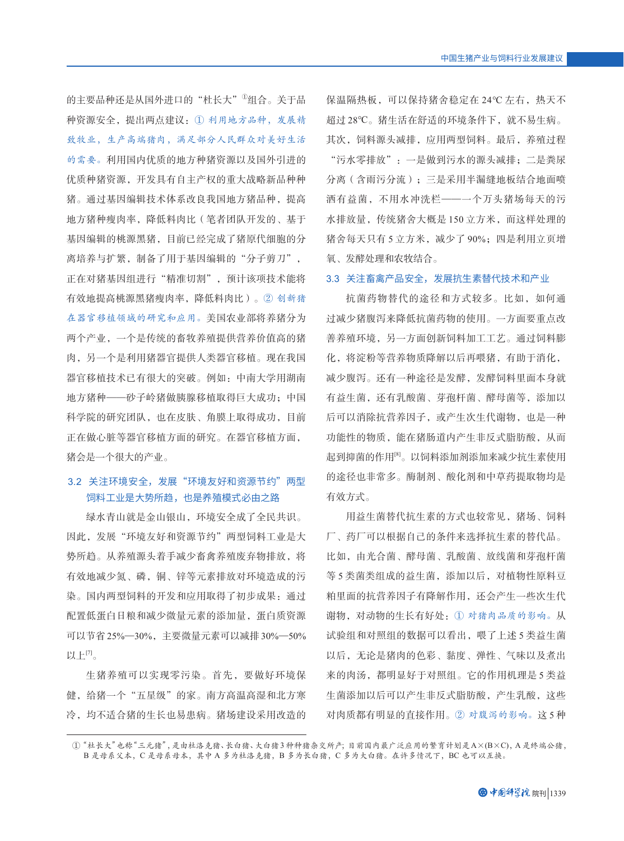的主要品种还是从国外进口的"杜长大"<sup>①</sup>组合。关于品 种资源安全,提出两点建议:① 利用地方品种,发展精 致牧业,生产高端猪肉,满足部分人民群众对美好生活 的需要。利用国内优质的地方种猪资源以及国外引进的 优质种猪资源,开发具有自主产权的重大战略新品种种 猪。通过基因编辑技术体系改良我国地方猪品种,提高 地方猪种瘦肉率,降低料肉比(笔者团队开发的、基于 基因编辑的桃源黑猪,目前已经完成了猪原代细胞的分 离培养与扩繁,制备了用于基因编辑的"分子剪刀", 正在对猪基因组进行"精准切割", 预计该项技术能将 有效地提高桃源黑猪瘦肉率,降低料肉比)。② 创新猪 在器官移植领域的研究和应用。美国农业部将养猪分为 两个产业,一个是传统的畜牧养殖提供营养价值高的猪 肉,另一个是利用猪器官提供人类器官移植。现在我国 器官移植技术已有很大的突破。例如:中南大学用湖南 地方猪种——砂子岭猪做胰腺移植取得巨大成功;中国 科学院的研究团队,也在皮肤、角膜上取得成功,目前 正在做心脏等器官移植方面的研究。在器官移植方面, 猪会是一个很大的产业。

# 3.2 关注环境安全,发展"环境友好和资源节约"两型 饲料工业是大势所趋,也是养殖模式必由之路

绿水青山就是金山银山,环境安全成了全民共识。 因此,发展"环境友好和资源节约"两型饲料工业是大 势所趋。从养殖源头着手减少畜禽养殖废弃物排放,将 有效地减少氮、磷,铜、锌等元素排放对环境造成的污 染。国内两型饲料的开发和应用取得了初步成果:通过 配置低蛋白日粮和减少微量元素的添加量,蛋白质资源 可以节省 25%—30%,主要微量元素可以减排 30%—50% 以上 $[7]$ 。

生猪养殖可以实现零污染。首先,要做好环境保 健,给猪一个"五星级"的家。南方高温高湿和北方寒 冷,均不适合猪的生长也易患病。猪场建设采用改造的 保温隔热板,可以保持猪舍稳定在 24℃ 左右,热天不 超过 28℃。猪生活在舒适的环境条件下,就不易生病。 其次,饲料源头减排,应用两型饲料。最后,养殖过程 "污水零排放":一是做到污水的源头减排;二是粪尿 分离(含雨污分流);三是采用半漏缝地板结合地面喷 洒有益菌,不用水冲洗栏——一个万头猪场每天的污 水排放量,传统猪舍大概是 150 立方米,而这样处理的 猪舍每天只有 5 立方米, 减少了 90%; 四是利用立页增 氧、发酵处理和农牧结合。

#### 3.3 关注畜禽产品安全,发展抗生素替代技术和产业

抗菌药物替代的途径和方式较多。比如,如何通 过减少猪腹泻来降低抗菌药物的使用。一方面要重点改 善养殖环境,另一方面创新饲料加工工艺。通过饲料膨 化,将淀粉等营养物质降解以后再喂猪,有助于消化, 减少腹泻。还有一种途径是发酵,发酵饲料里面本身就 有益生菌,还有乳酸菌、芽孢杆菌、酵母菌等,添加以 后可以消除抗营养因子,或产生次生代谢物,也是一种 功能性的物质,能在猪肠道内产生非反式脂肪酸,从而 起到抑菌的作用<sup>[8]</sup>。以饲料添加剂添加来减少抗生素使用 的途径也非常多。酶制剂、酸化剂和中草药提取物均是 有效方式。

用益生菌替代抗生素的方式也较常见,猪场、饲料 厂、药厂可以根据自己的条件来选择抗生素的替代品。 比如,由光合菌、酵母菌、乳酸菌、放线菌和芽孢杆菌 等 5 类菌类组成的益生菌,添加以后,对植物性原料豆 粕里面的抗营养因子有降解作用,还会产生一些次生代 谢物,对动物的生长有好处:① 对猪肉品质的影响。从 试验组和对照组的数据可以看出,喂了上述 5 类益生菌 以后,无论是猪肉的色彩、黏度、弹性、气味以及煮出 来的肉汤,都明显好于对照组。它的作用机理是 5 类益 生菌添加以后可以产生非反式脂肪酸,产生乳酸,这些 对肉质都有明显的直接作用。② 对腹泻的影响。这 5 种

①"杜长大"也称"三元猪",是由杜洛克猪、长白猪、大白猪 3种种猪杂交所产;目前国内最广泛应用的繁育计划是A×(B×C), A是终端公猪, B 是母系父本,C 是母系母本,其中 A 多为杜洛克猪,B 多为长白猪,C 多为大白猪。在许多情况下,BC 也可以互换。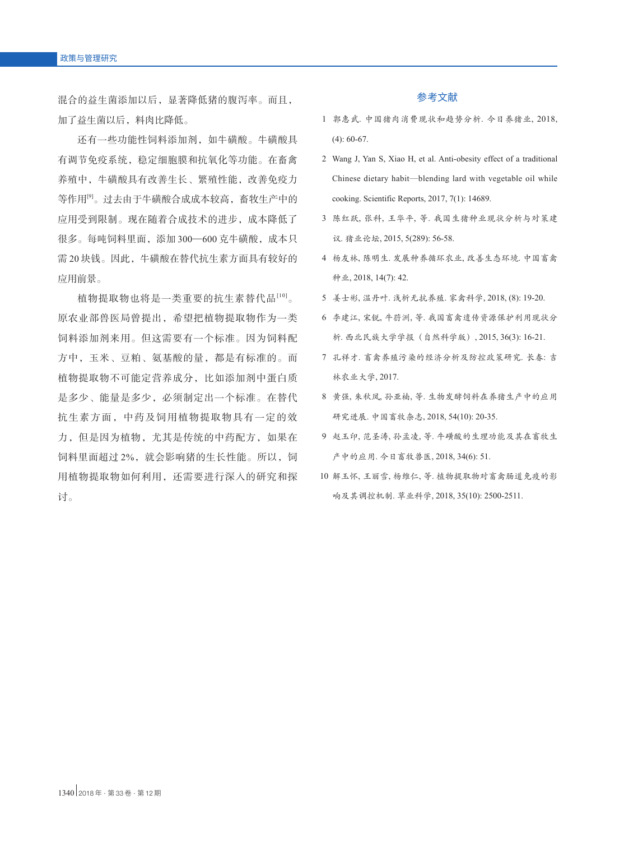混合的益生菌添加以后,显著降低猪的腹泻率。而且, 加了益生菌以后,料肉比降低。

还有一些功能性饲料添加剂,如牛磺酸。牛磺酸具 有调节免疫系统,稳定细胞膜和抗氧化等功能。在畜禽 养殖中,牛磺酸具有改善生长、繁殖性能,改善免疫力 等作用[9]。过去由于牛磺酸合成成本较高,畜牧生产中的 应用受到限制。现在随着合成技术的进步,成本降低了 很多。每吨饲料里面,添加 300—600 克牛磺酸,成本只 需 20 块钱。因此,牛磺酸在替代抗生素方面具有较好的 应用前景。

植物提取物也将是一类重要的抗生素替代品[10]。 原农业部兽医局曾提出,希望把植物提取物作为一类 饲料添加剂来用。但这需要有一个标准。因为饲料配 方中,玉米、豆粕、氨基酸的量,都是有标准的。而 植物提取物不可能定营养成分,比如添加剂中蛋白质 是多少、能量是多少,必须制定出一个标准。在替代 抗生素方面,中药及饲用植物提取物具有一定的效 力,但是因为植物,尤其是传统的中药配方,如果在 饲料里面超过2%,就会影响猪的生长性能。所以,饲 用植物提取物如何利用,还需要进行深入的研究和探 讨。

#### 参考文献

- 1 郭惠武. 中国猪肉消费现状和趋势分析. 今日养猪业, 2018, (4): 60-67.
- 2 Wang J, Yan S, Xiao H, et al. Anti-obesity effect of a traditional Chinese dietary habit—blending lard with vegetable oil while cooking. Scientific Reports, 2017, 7(1): 14689.
- 3 陈红跃, 张科, 王华平, 等. 我国生猪种业现状分析与对策建 议. 猪业论坛, 2015, 5(289): 56-58.
- 4 杨友林, 陈明生. 发展种养循环农业, 改善生态环境. 中国畜禽 种业, 2018, 14(7): 42.
- 5 姜士彬, 温丹叶. 浅析无抗养殖. 家禽科学, 2018, (8): 19-20.
- 6 李建江, 宋锐, 牛葕洲, 等. 我国畜禽遗传资源保护利用现状分 析. 西北民族大学学报(自然科学版), 2015, 36(3): 16-21.
- 7 孔祥才. 畜禽养殖污染的经济分析及防控政策研究. 长春: 吉 林农业大学, 2017.
- 8 黄强, 朱秋凤, 孙亚楠, 等. 生物发酵饲料在养猪生产中的应用 研究进展. 中国畜牧杂志, 2018, 54(10): 20-35.
- 9 赵玉印, 范圣涛, 孙孟凌, 等. 牛磺酸的生理功能及其在畜牧生 产中的应用. 今日畜牧兽医, 2018, 34(6): 51.
- 10 解玉怀, 王丽雪, 杨维仁, 等. 植物提取物对畜禽肠道免疫的影 响及其调控机制. 草业科学, 2018, 35(10): 2500-2511.